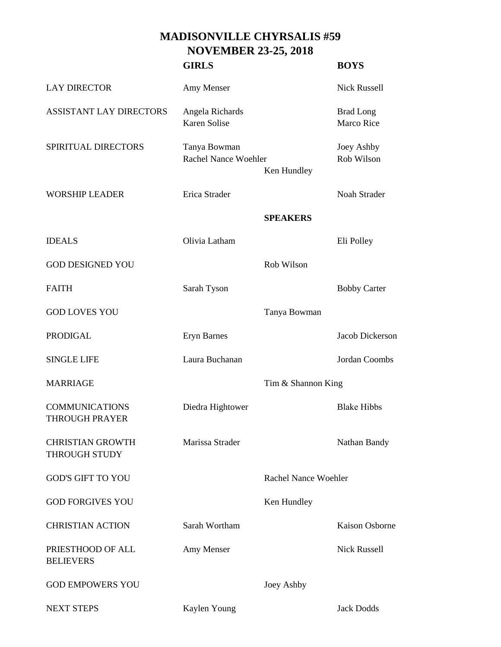## **MADISONVILLE CHYRSALIS #59 NOVEMBER 23-25, 2018**

|                                                 | <b>GIRLS</b>                           |                             | <b>BOYS</b>                    |
|-------------------------------------------------|----------------------------------------|-----------------------------|--------------------------------|
| <b>LAY DIRECTOR</b>                             | Amy Menser                             |                             | <b>Nick Russell</b>            |
| <b>ASSISTANT LAY DIRECTORS</b>                  | Angela Richards<br><b>Karen Solise</b> |                             | <b>Brad Long</b><br>Marco Rice |
| SPIRITUAL DIRECTORS                             | Tanya Bowman<br>Rachel Nance Woehler   | Ken Hundley                 | Joey Ashby<br>Rob Wilson       |
| <b>WORSHIP LEADER</b>                           | Erica Strader                          |                             | Noah Strader                   |
|                                                 |                                        | <b>SPEAKERS</b>             |                                |
| <b>IDEALS</b>                                   | Olivia Latham                          |                             | Eli Polley                     |
| <b>GOD DESIGNED YOU</b>                         |                                        | Rob Wilson                  |                                |
| <b>FAITH</b>                                    | Sarah Tyson                            |                             | <b>Bobby Carter</b>            |
| <b>GOD LOVES YOU</b>                            |                                        | Tanya Bowman                |                                |
| <b>PRODIGAL</b>                                 | <b>Eryn Barnes</b>                     |                             | Jacob Dickerson                |
| <b>SINGLE LIFE</b>                              | Laura Buchanan                         |                             | Jordan Coombs                  |
| <b>MARRIAGE</b>                                 |                                        | Tim & Shannon King          |                                |
| <b>COMMUNICATIONS</b><br><b>THROUGH PRAYER</b>  | Diedra Hightower                       |                             | <b>Blake Hibbs</b>             |
| <b>CHRISTIAN GROWTH</b><br><b>THROUGH STUDY</b> | Marissa Strader                        |                             | Nathan Bandy                   |
| <b>GOD'S GIFT TO YOU</b>                        |                                        | <b>Rachel Nance Woehler</b> |                                |
| <b>GOD FORGIVES YOU</b>                         |                                        | Ken Hundley                 |                                |
| <b>CHRISTIAN ACTION</b>                         | Sarah Wortham                          |                             | <b>Kaison Osborne</b>          |
| PRIESTHOOD OF ALL<br><b>BELIEVERS</b>           | Amy Menser                             |                             | <b>Nick Russell</b>            |
| <b>GOD EMPOWERS YOU</b>                         |                                        | Joey Ashby                  |                                |
| <b>NEXT STEPS</b>                               | Kaylen Young                           |                             | <b>Jack Dodds</b>              |